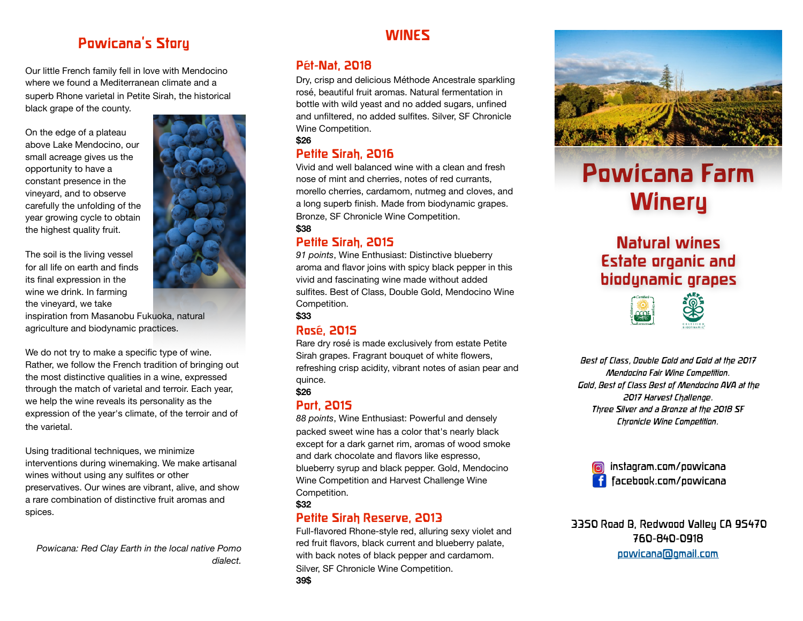### **Powicana's Story**

Our little French family fell in love with Mendocino where we found a Mediterranean climate and a superb Rhone varietal in Petite Sirah, the historical black grape of the county.

On the edge of a plateau above Lake Mendocino, our small acreage gives us the opportunity to have a constant presence in the vineyard, and to observe carefully the unfolding of the year growing cycle to obtain the highest quality fruit.

The soil is the living vessel for all life on earth and finds its final expression in the wine we drink. In farming the vineyard, we take

inspiration from Masanobu Fukuoka, natural agriculture and biodynamic practices.

We do not try to make a specific type of wine. Rather, we follow the French tradition of bringing out the most distinctive qualities in a wine, expressed through the match of varietal and terroir. Each year, we help the wine reveals its personality as the expression of the year's climate, of the terroir and of the varietal.

Using traditional techniques, we minimize interventions during winemaking. We make artisanal wines without using any sulfites or other preservatives. Our wines are vibrant, alive, and show a rare combination of distinctive fruit aromas and spices.

*Powicana: Red Clay Earth in the local native Pomo dialect.*

#### **WINES**

#### **Pét-Nat, 2018**

Dry, crisp and delicious Méthode Ancestrale sparkling rosé, beautiful fruit aromas. Natural fermentation in bottle with wild yeast and no added sugars, unfined and unfiltered, no added sulfites. Silver, SF Chronicle Wine Competition.

#### **\$26**

#### **Petite Sirah, 2016**

Vivid and well balanced wine with a clean and fresh nose of mint and cherries, notes of red currants, morello cherries, cardamom, nutmeg and cloves, and a long superb finish. Made from biodynamic grapes. Bronze, SF Chronicle Wine Competition.

#### **\$38**

#### **Petite Sirah, 2015**

*91 points*, Wine Enthusiast: Distinctive blueberry aroma and flavor joins with spicy black pepper in this vivid and fascinating wine made without added sulfites. Best of Class, Double Gold, Mendocino Wine Competition.

**\$33**

#### **Rosé, 2015**

Rare dry rosé is made exclusively from estate Petite Sirah grapes. Fragrant bouquet of white flowers, refreshing crisp acidity, vibrant notes of asian pear and quince.

#### **\$26**

#### **Port, 2015**

*88 points*, Wine Enthusiast: Powerful and densely packed sweet wine has a color that's nearly black except for a dark garnet rim, aromas of wood smoke and dark chocolate and flavors like espresso, blueberry syrup and black pepper. Gold, Mendocino Wine Competition and Harvest Challenge Wine Competition. **\$32**

# **Petite Sirah Reserve, 2013**

Full-flavored Rhone-style red, alluring sexy violet and red fruit flavors, black current and blueberry palate, with back notes of black pepper and cardamom. Silver, SF Chronicle Wine Competition. **39\$**





# **Powicana Farm Winery**

# **Natural wines Estate organic and biodynamic grapes**



*Best of Class, Double Gold and Gold at the 2017 Mendocino Fair Wine Competition. Gold, Best of Class Best of Mendocino AVA at the 2017 Harvest Challenge. Three Silver and a Bronze at the 2018 SF Chronicle Wine Competition.*



3350 Road B, Redwood Valley CA 95470 760-840-0918

[powicana@gmail.com](mailto:powicana@gmail.com)